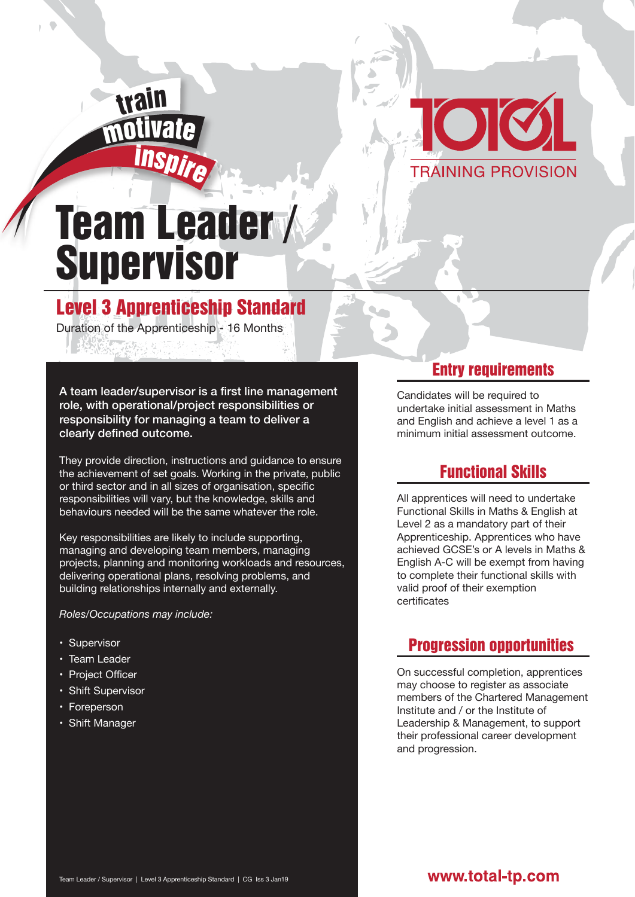



# Team Leader / **Supervisor**

## Level 3 Apprenticeship Standard

Duration of the Apprenticeship - 16 Months

A team leader/supervisor is a first line management role, with operational/project responsibilities or responsibility for managing a team to deliver a clearly defined outcome.

They provide direction, instructions and guidance to ensure the achievement of set goals. Working in the private, public or third sector and in all sizes of organisation, specific responsibilities will vary, but the knowledge, skills and behaviours needed will be the same whatever the role.

Key responsibilities are likely to include supporting, managing and developing team members, managing projects, planning and monitoring workloads and resources, delivering operational plans, resolving problems, and building relationships internally and externally.

*Roles/Occupations may include:*

- Supervisor
- Team Leader
- Project Officer
- Shift Supervisor
- Foreperson
- Shift Manager

#### Entry requirements

Candidates will be required to undertake initial assessment in Maths and English and achieve a level 1 as a minimum initial assessment outcome.

### Functional Skills

All apprentices will need to undertake Functional Skills in Maths & English at Level 2 as a mandatory part of their Apprenticeship. Apprentices who have achieved GCSE's or A levels in Maths & English A-C will be exempt from having to complete their functional skills with valid proof of their exemption certificates

#### Progression opportunities

On successful completion, apprentices may choose to register as associate members of the Chartered Management Institute and / or the Institute of Leadership & Management, to support their professional career development and progression.

#### www.total-tp.com